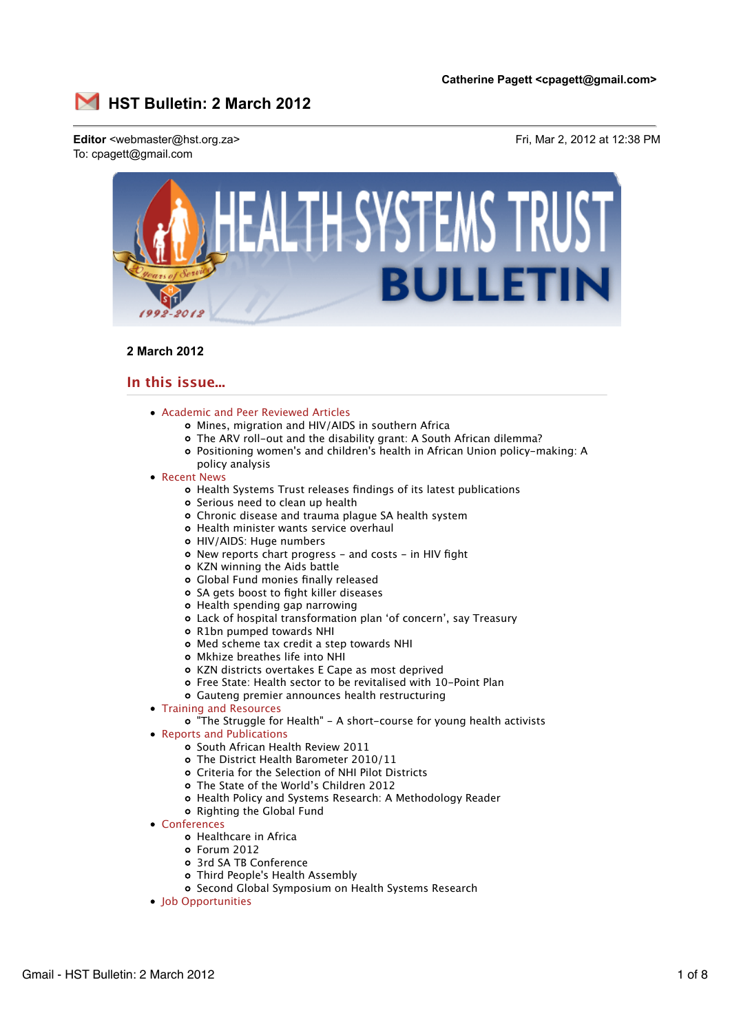

# **2 March 2012**

# **In this issue...**

- Academic and Peer Reviewed Articles
	- Mines, migration and HIV/AIDS in southern Africa
	- The ARV roll-out and the disability grant: A South African dilemma?
	- Positioning women's and children's health in African Union policy-making: A policy analysis
- Recent News
	- Health Systems Trust releases findings of its latest publications
	- o Serious need to clean up health
	- Chronic disease and trauma plague SA health system
	- Health minister wants service overhaul
	- HIV/AIDS: Huge numbers
	- o New reports chart progress and costs in HIV fight
	- KZN winning the Aids battle
	- Global Fund monies finally released
	- SA gets boost to fight killer diseases
	- o Health spending gap narrowing
	- Lack of hospital transformation plan 'of concern', say Treasury
	- R1bn pumped towards NHI
	- Med scheme tax credit a step towards NHI
	- Mkhize breathes life into NHI
	- KZN districts overtakes E Cape as most deprived
	- Free State: Health sector to be revitalised with 10-Point Plan
	- Gauteng premier announces health restructuring
- Training and Resources
	- "The Struggle for Health" A short-course for young health activists
- Reports and Publications
	- o South African Health Review 2011
	- The District Health Barometer 2010/11
	- Criteria for the Selection of NHI Pilot Districts
	- The State of the World's Children 2012
	- Health Policy and Systems Research: A Methodology Reader
	- o Righting the Global Fund
- Conferences
	- Healthcare in Africa
	- Forum 2012
	- 3rd SA TB Conference
	- Third People's Health Assembly
	- o Second Global Symposium on Health Systems Research
- Job Opportunities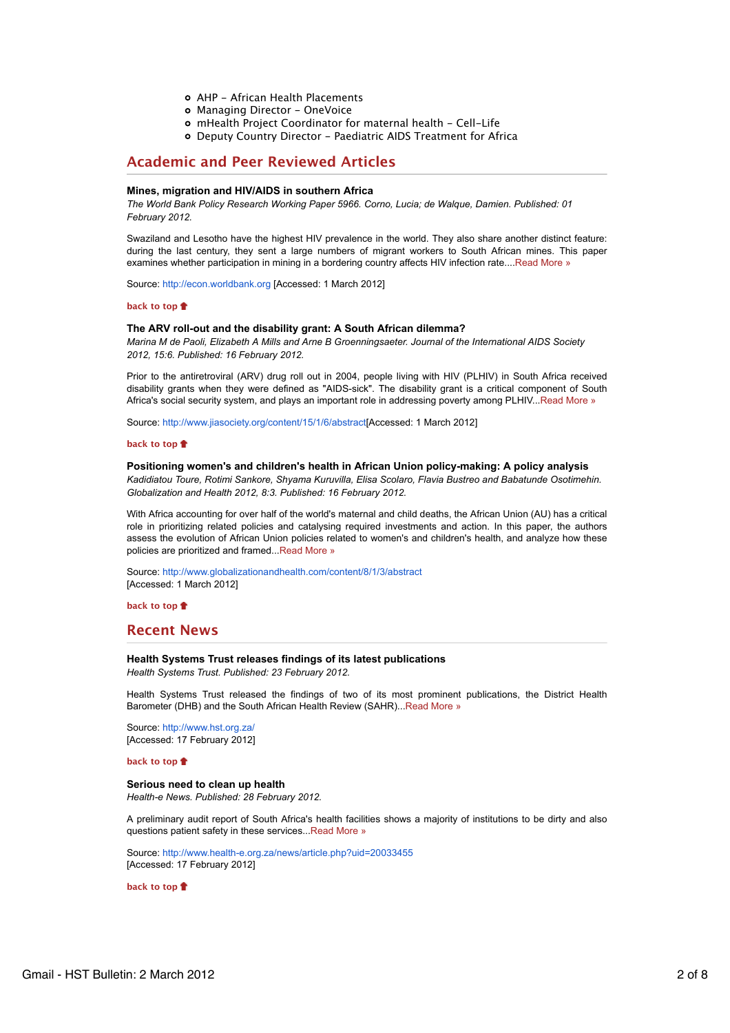- AHP African Health Placements
- o Managing Director OneVoice
- mHealth Project Coordinator for maternal health Cell-Life
- Deputy Country Director Paediatric AIDS Treatment for Africa

# **Academic and Peer Reviewed Articles**

## **Mines, migration and HIV/AIDS in southern Africa**

*The World Bank Policy Research Working Paper 5966. Corno, Lucia; de Walque, Damien. Published: 01 February 2012.*

Swaziland and Lesotho have the highest HIV prevalence in the world. They also share another distinct feature: during the last century, they sent a large numbers of migrant workers to South African mines. This paper examines whether participation in mining in a bordering country affects HIV infection rate....Read More »

Source: http://econ.worldbank.org [Accessed: 1 March 2012]

## **back to top**

## **The ARV roll-out and the disability grant: A South African dilemma?**

*Marina M de Paoli, Elizabeth A Mills and Arne B Groenningsaeter. Journal of the International AIDS Society 2012, 15:6. Published: 16 February 2012.*

Prior to the antiretroviral (ARV) drug roll out in 2004, people living with HIV (PLHIV) in South Africa received disability grants when they were defined as "AIDS-sick". The disability grant is a critical component of South Africa's social security system, and plays an important role in addressing poverty among PLHIV...Read More »

Source: http://www.jiasociety.org/content/15/1/6/abstract[Accessed: 1 March 2012]

#### **back to top**

## **Positioning women's and children's health in African Union policy-making: A policy analysis** *Kadidiatou Toure, Rotimi Sankore, Shyama Kuruvilla, Elisa Scolaro, Flavia Bustreo and Babatunde Osotimehin. Globalization and Health 2012, 8:3. Published: 16 February 2012.*

With Africa accounting for over half of the world's maternal and child deaths, the African Union (AU) has a critical role in prioritizing related policies and catalysing required investments and action. In this paper, the authors assess the evolution of African Union policies related to women's and children's health, and analyze how these policies are prioritized and framed...Read More »

Source: http://www.globalizationandhealth.com/content/8/1/3/abstract [Accessed: 1 March 2012]

**back to top**

## **Recent News**

#### **Health Systems Trust releases findings of its latest publications**

*Health Systems Trust. Published: 23 February 2012.*

Health Systems Trust released the findings of two of its most prominent publications, the District Health Barometer (DHB) and the South African Health Review (SAHR)...Read More »

Source: http://www.hst.org.za/ [Accessed: 17 February 2012]

**back to top**

## **Serious need to clean up health**

*Health-e News. Published: 28 February 2012.*

A preliminary audit report of South Africa's health facilities shows a majority of institutions to be dirty and also questions patient safety in these services...Read More »

Source: http://www.health-e.org.za/news/article.php?uid=20033455 [Accessed: 17 February 2012]

**back to top**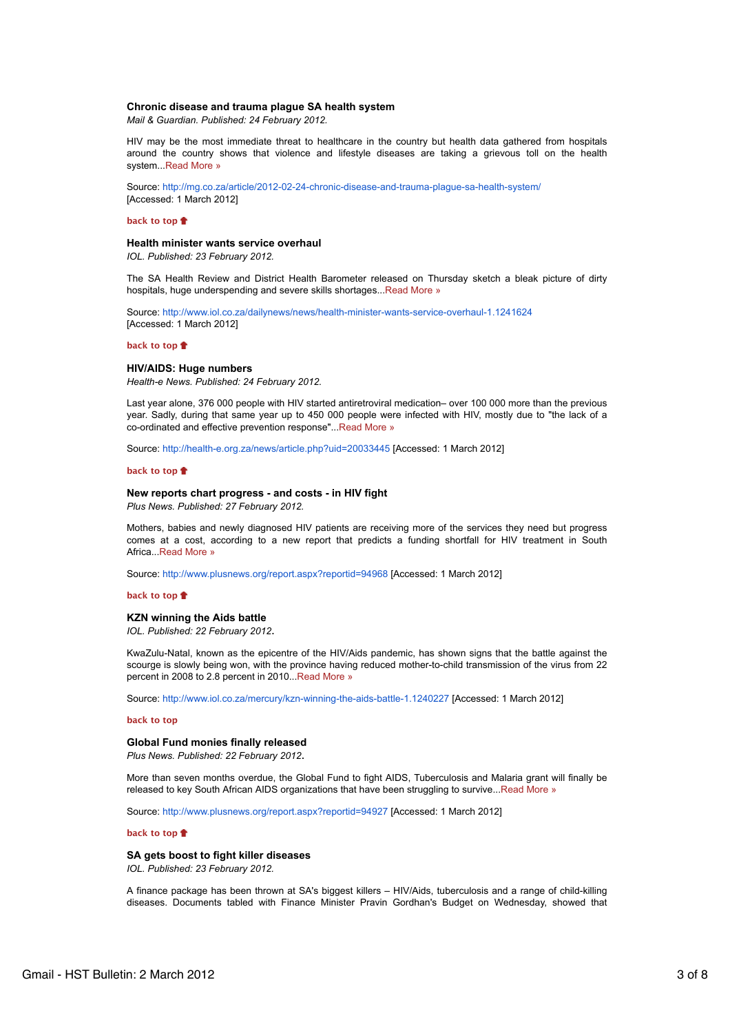### **Chronic disease and trauma plague SA health system**

*Mail & Guardian. Published: 24 February 2012.*

HIV may be the most immediate threat to healthcare in the country but health data gathered from hospitals around the country shows that violence and lifestyle diseases are taking a grievous toll on the health system...Read More »

Source: http://mg.co.za/article/2012-02-24-chronic-disease-and-trauma-plague-sa-health-system/ [Accessed: 1 March 2012]

## **back to top**

#### **Health minister wants service overhaul**

*IOL. Published: 23 February 2012.*

The SA Health Review and District Health Barometer released on Thursday sketch a bleak picture of dirty hospitals, huge underspending and severe skills shortages...Read More »

Source: http://www.iol.co.za/dailynews/news/health-minister-wants-service-overhaul-1.1241624 [Accessed: 1 March 2012]

#### **back to top**

## **HIV/AIDS: Huge numbers**

*Health-e News. Published: 24 February 2012.*

Last year alone, 376 000 people with HIV started antiretroviral medication– over 100 000 more than the previous year. Sadly, during that same year up to 450 000 people were infected with HIV, mostly due to "the lack of a co-ordinated and effective prevention response"...Read More »

Source: http://health-e.org.za/news/article.php?uid=20033445 [Accessed: 1 March 2012]

#### **back to top**

## **New reports chart progress - and costs - in HIV fight**

*Plus News. Published: 27 February 2012.*

Mothers, babies and newly diagnosed HIV patients are receiving more of the services they need but progress comes at a cost, according to a new report that predicts a funding shortfall for HIV treatment in South Africa...Read More »

Source: http://www.plusnews.org/report.aspx?reportid=94968 [Accessed: 1 March 2012]

#### **back to top**

## **KZN winning the Aids battle**

*IOL. Published: 22 February 2012*.

KwaZulu-Natal, known as the epicentre of the HIV/Aids pandemic, has shown signs that the battle against the scourge is slowly being won, with the province having reduced mother-to-child transmission of the virus from 22 percent in 2008 to 2.8 percent in 2010...Read More »

Source: http://www.iol.co.za/mercury/kzn-winning-the-aids-battle-1.1240227 [Accessed: 1 March 2012]

#### **back to top**

## **Global Fund monies finally released**

*Plus News. Published: 22 February 2012*.

More than seven months overdue, the Global Fund to fight AIDS, Tuberculosis and Malaria grant will finally be released to key South African AIDS organizations that have been struggling to survive...Read More »

Source: http://www.plusnews.org/report.aspx?reportid=94927 [Accessed: 1 March 2012]

## **back to top**

## **SA gets boost to fight killer diseases**

*IOL. Published: 23 February 2012.*

A finance package has been thrown at SA's biggest killers – HIV/Aids, tuberculosis and a range of child-killing diseases. Documents tabled with Finance Minister Pravin Gordhan's Budget on Wednesday, showed that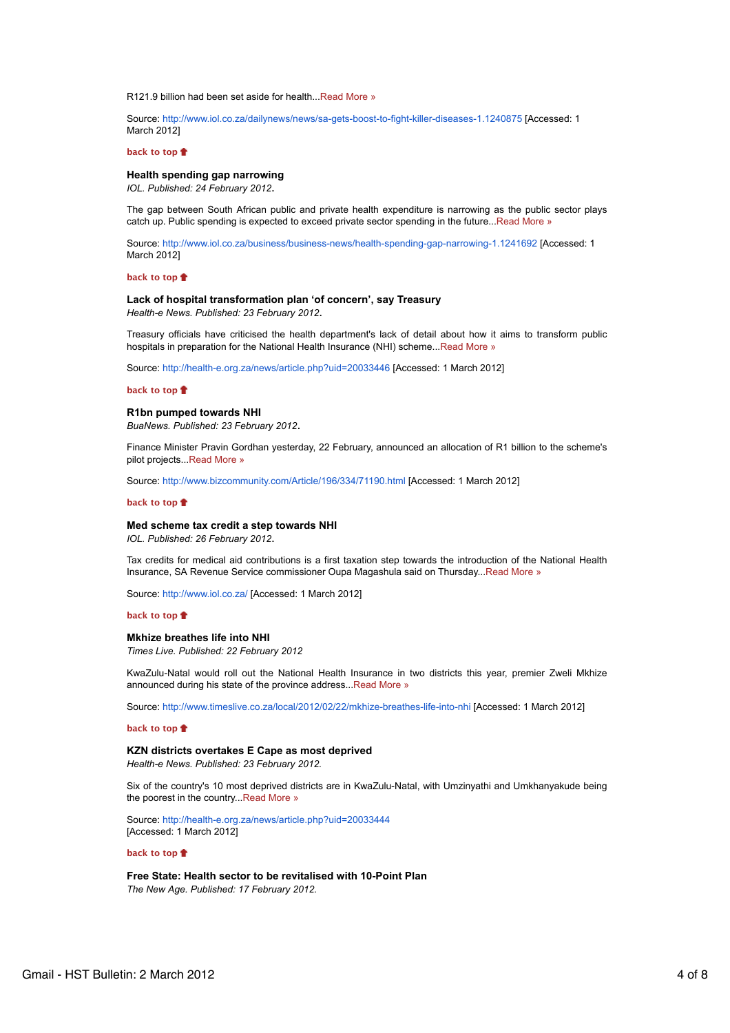R121.9 billion had been set aside for health...Read More »

Source: http://www.iol.co.za/dailynews/news/sa-gets-boost-to-fight-killer-diseases-1.1240875 [Accessed: 1 March 2012]

#### **back to top**

### **Health spending gap narrowing**

*IOL. Published: 24 February 2012*.

The gap between South African public and private health expenditure is narrowing as the public sector plays catch up. Public spending is expected to exceed private sector spending in the future...Read More »

Source: http://www.iol.co.za/business/business-news/health-spending-gap-narrowing-1.1241692 [Accessed: 1 March 2012]

#### **back to top**

## **Lack of hospital transformation plan 'of concern', say Treasury**

*Health-e News. Published: 23 February 2012*.

Treasury officials have criticised the health department's lack of detail about how it aims to transform public hospitals in preparation for the National Health Insurance (NHI) scheme...Read More »

Source: http://health-e.org.za/news/article.php?uid=20033446 [Accessed: 1 March 2012]

## **back to top**

#### **R1bn pumped towards NHI**

*BuaNews. Published: 23 February 2012*.

Finance Minister Pravin Gordhan yesterday, 22 February, announced an allocation of R1 billion to the scheme's pilot projects...Read More »

Source: http://www.bizcommunity.com/Article/196/334/71190.html [Accessed: 1 March 2012]

#### **back to top**

#### **Med scheme tax credit a step towards NHI**

*IOL. Published: 26 February 2012*.

Tax credits for medical aid contributions is a first taxation step towards the introduction of the National Health Insurance, SA Revenue Service commissioner Oupa Magashula said on Thursday...Read More »

Source: http://www.iol.co.za/ [Accessed: 1 March 2012]

#### **back to top**

## **Mkhize breathes life into NHI**

*Times Live. Published: 22 February 2012*

KwaZulu-Natal would roll out the National Health Insurance in two districts this year, premier Zweli Mkhize announced during his state of the province address...Read More »

Source: http://www.timeslive.co.za/local/2012/02/22/mkhize-breathes-life-into-nhi [Accessed: 1 March 2012]

#### **back to top**

## **KZN districts overtakes E Cape as most deprived**

*Health-e News. Published: 23 February 2012.*

Six of the country's 10 most deprived districts are in KwaZulu-Natal, with Umzinyathi and Umkhanyakude being the poorest in the country...Read More »

Source: http://health-e.org.za/news/article.php?uid=20033444 [Accessed: 1 March 2012]

## **back to top**

**Free State: Health sector to be revitalised with 10-Point Plan** *The New Age. Published: 17 February 2012.*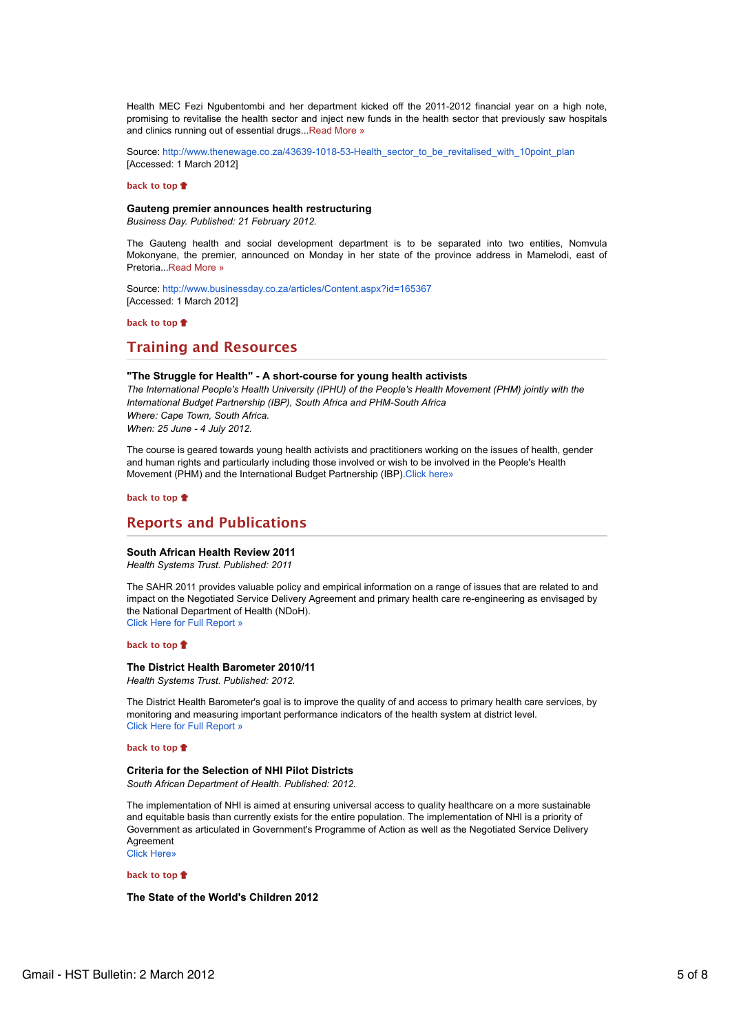Health MEC Fezi Ngubentombi and her department kicked off the 2011-2012 financial year on a high note, promising to revitalise the health sector and inject new funds in the health sector that previously saw hospitals and clinics running out of essential drugs...Read More »

Source: http://www.thenewage.co.za/43639-1018-53-Health\_sector\_to\_be\_revitalised\_with\_10point\_plan [Accessed: 1 March 2012]

#### **back to top**

#### **Gauteng premier announces health restructuring**

*Business Day. Published: 21 February 2012.*

The Gauteng health and social development department is to be separated into two entities, Nomvula Mokonyane, the premier, announced on Monday in her state of the province address in Mamelodi, east of Pretoria...Read More »

Source: http://www.businessday.co.za/articles/Content.aspx?id=165367 [Accessed: 1 March 2012]

#### **back to top**

# **Training and Resources**

## **"The Struggle for Health" - A short-course for young health activists**

*The International People's Health University (IPHU) of the People's Health Movement (PHM) jointly with the International Budget Partnership (IBP), South Africa and PHM-South Africa Where: Cape Town, South Africa. When: 25 June - 4 July 2012.*

The course is geared towards young health activists and practitioners working on the issues of health, gender and human rights and particularly including those involved or wish to be involved in the People's Health Movement (PHM) and the International Budget Partnership (IBP).Click here»

#### **back to top**

## **Reports and Publications**

### **South African Health Review 2011**

*Health Systems Trust. Published: 2011*

The SAHR 2011 provides valuable policy and empirical information on a range of issues that are related to and impact on the Negotiated Service Delivery Agreement and primary health care re-engineering as envisaged by the National Department of Health (NDoH). Click Here for Full Report »

#### **back to top**

**The District Health Barometer 2010/11** *Health Systems Trust. Published: 2012.*

The District Health Barometer's goal is to improve the quality of and access to primary health care services, by monitoring and measuring important performance indicators of the health system at district level. Click Here for Full Report »

#### **back to top**

#### **Criteria for the Selection of NHI Pilot Districts**

*South African Department of Health. Published: 2012.*

The implementation of NHI is aimed at ensuring universal access to quality healthcare on a more sustainable and equitable basis than currently exists for the entire population. The implementation of NHI is a priority of Government as articulated in Government's Programme of Action as well as the Negotiated Service Delivery Agreement Click Here»

**back to top**

**The State of the World's Children 2012**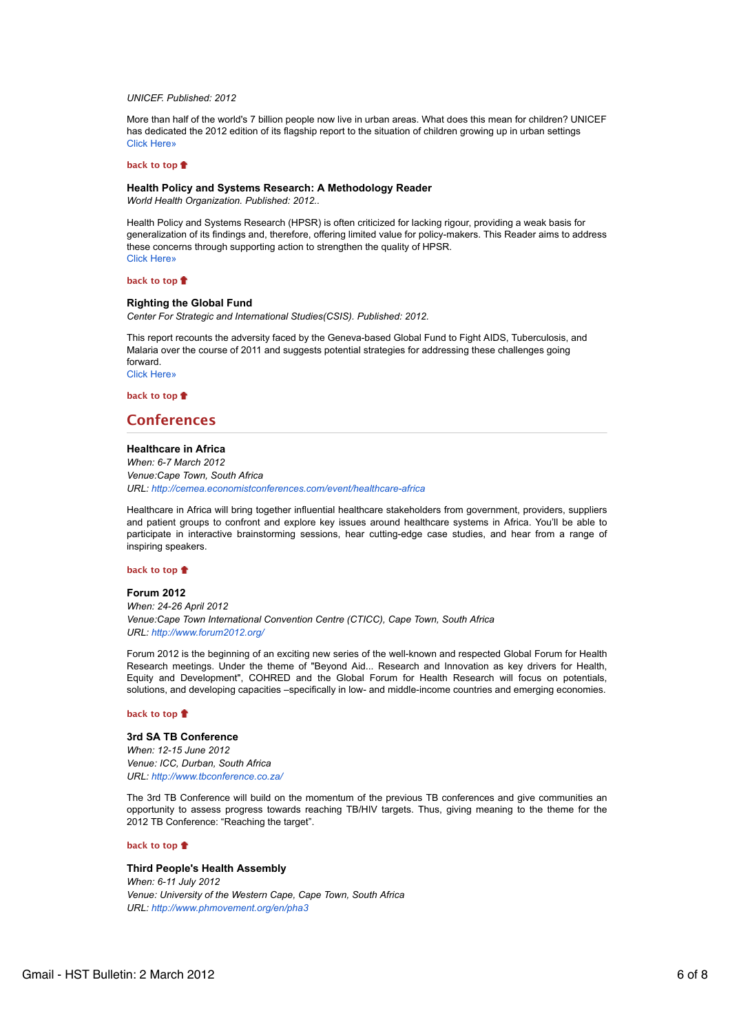## *UNICEF. Published: 2012*

More than half of the world's 7 billion people now live in urban areas. What does this mean for children? UNICEF has dedicated the 2012 edition of its flagship report to the situation of children growing up in urban settings Click Here»

#### **back to top**

#### **Health Policy and Systems Research: A Methodology Reader**

*World Health Organization. Published: 2012..*

Health Policy and Systems Research (HPSR) is often criticized for lacking rigour, providing a weak basis for generalization of its findings and, therefore, offering limited value for policy-makers. This Reader aims to address these concerns through supporting action to strengthen the quality of HPSR. Click Here»

#### **back to top**

## **Righting the Global Fund**

*Center For Strategic and International Studies(CSIS). Published: 2012.*

This report recounts the adversity faced by the Geneva-based Global Fund to Fight AIDS, Tuberculosis, and Malaria over the course of 2011 and suggests potential strategies for addressing these challenges going forward. Click Here»

**back to top**

# **Conferences**

#### **Healthcare in Africa**

*When: 6-7 March 2012 Venue:Cape Town, South Africa URL: http://cemea.economistconferences.com/event/healthcare-africa*

Healthcare in Africa will bring together influential healthcare stakeholders from government, providers, suppliers and patient groups to confront and explore key issues around healthcare systems in Africa. You'll be able to participate in interactive brainstorming sessions, hear cutting-edge case studies, and hear from a range of inspiring speakers.

## **back to top**

#### **Forum 2012**

*When: 24-26 April 2012 Venue:Cape Town International Convention Centre (CTICC), Cape Town, South Africa URL: http://www.forum2012.org/*

Forum 2012 is the beginning of an exciting new series of the well-known and respected Global Forum for Health Research meetings. Under the theme of "Beyond Aid... Research and Innovation as key drivers for Health, Equity and Development", COHRED and the Global Forum for Health Research will focus on potentials, solutions, and developing capacities –specifically in low- and middle-income countries and emerging economies.

#### **back to top**

## **3rd SA TB Conference** *When: 12-15 June 2012 Venue: ICC, Durban, South Africa URL: http://www.tbconference.co.za/*

The 3rd TB Conference will build on the momentum of the previous TB conferences and give communities an opportunity to assess progress towards reaching TB/HIV targets. Thus, giving meaning to the theme for the 2012 TB Conference: "Reaching the target".

#### **back to top**

## **Third People's Health Assembly**

*When: 6-11 July 2012 Venue: University of the Western Cape, Cape Town, South Africa URL: http://www.phmovement.org/en/pha3*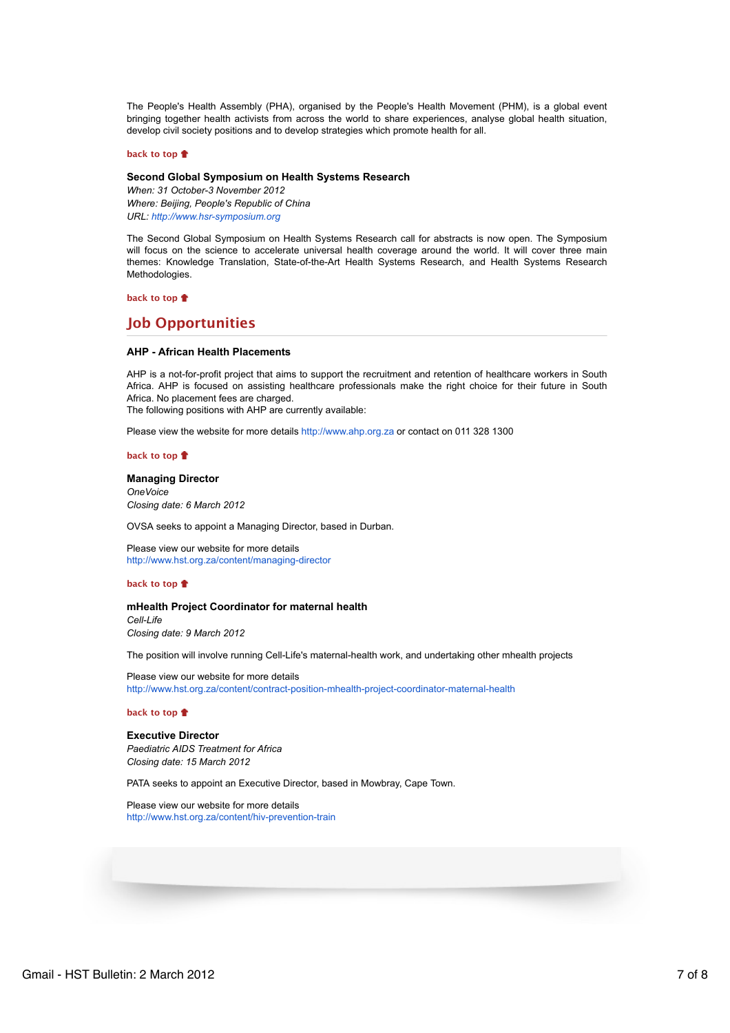The People's Health Assembly (PHA), organised by the People's Health Movement (PHM), is a global event bringing together health activists from across the world to share experiences, analyse global health situation, develop civil society positions and to develop strategies which promote health for all.

#### **back to top**

## **Second Global Symposium on Health Systems Research**

*When: 31 October-3 November 2012 Where: Beijing, People's Republic of China URL: http://www.hsr-symposium.org*

The Second Global Symposium on Health Systems Research call for abstracts is now open. The Symposium will focus on the science to accelerate universal health coverage around the world. It will cover three main themes: Knowledge Translation, State-of-the-Art Health Systems Research, and Health Systems Research Methodologies.

**back to top**

## **Job Opportunities**

## **AHP - African Health Placements**

AHP is a not-for-profit project that aims to support the recruitment and retention of healthcare workers in South Africa. AHP is focused on assisting healthcare professionals make the right choice for their future in South Africa. No placement fees are charged.

The following positions with AHP are currently available:

Please view the website for more details http://www.ahp.org.za or contact on 011 328 1300

#### **back to top**

#### **Managing Director** *OneVoice*

*Closing date: 6 March 2012*

OVSA seeks to appoint a Managing Director, based in Durban.

Please view our website for more details http://www.hst.org.za/content/managing-director

#### **back to top**

## **mHealth Project Coordinator for maternal health** *Cell-Life Closing date: 9 March 2012*

The position will involve running Cell-Life's maternal-health work, and undertaking other mhealth projects

Please view our website for more details http://www.hst.org.za/content/contract-position-mhealth-project-coordinator-maternal-health

**back to top**

#### **Executive Director**

*Paediatric AIDS Treatment for Africa Closing date: 15 March 2012*

PATA seeks to appoint an Executive Director, based in Mowbray, Cape Town.

Please view our website for more details http://www.hst.org.za/content/hiv-prevention-train